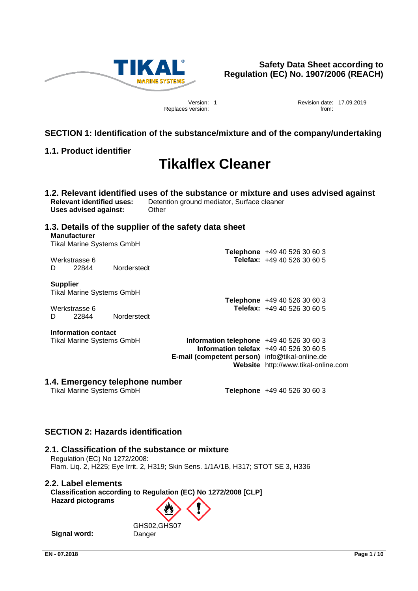

Replaces version: **from: from: from: from: from: from: from: from: from: from: from: from: from: from: from: from: from: from: from: from: from: from: from: from: from: fro** 

Version: 1 Revision date: 17.09.2019

# **SECTION 1: Identification of the substance/mixture and of the company/undertaking**

# **1.1. Product identifier**

# **Tikalflex Cleaner**

**1.2. Relevant identified uses of the substance or mixture and uses advised against Relevant identified uses:** Detention ground mediator, Surface cleaner **Uses advised against:** Other

# **1.3. Details of the supplier of the safety data sheet Manufacturer**

Tikal Marine Systems GmbH

|   |               |             | Telephone +49 40 526 30 60 3              |
|---|---------------|-------------|-------------------------------------------|
|   | Werkstrasse 6 |             | <b>Telefax:</b> $+49\,40\,526\,30\,60\,5$ |
| D | 22844         | Norderstedt |                                           |

# **Supplier**

Tikal Marine Systems GmbH

Werkstrasse 6 **Telefax:** +49 40 526 30 60 5 D 22844 Norderstedt

# **Information contact**

Tikal Marine Systems GmbH **Information telephone** +49 40 526 30 60 3 **Information telefax** +49 40 526 30 60 5 **E-mail (competent person)** info@tikal-online.de **Website** http://www.tikal-online.com

# **1.4. Emergency telephone number**

**Telephone** +49 40 526 30 60 3

**Telephone** +49 40 526 30 60 3

# **SECTION 2: Hazards identification**

# **2.1. Classification of the substance or mixture**

Regulation (EC) No 1272/2008: Flam. Liq. 2, H225; Eye Irrit. 2, H319; Skin Sens. 1/1A/1B, H317; STOT SE 3, H336

# **2.2. Label elements**

**Classification according to Regulation (EC) No 1272/2008 [CLP] Hazard pictograms**

**Signal word:** Danger

GHS02,GHS07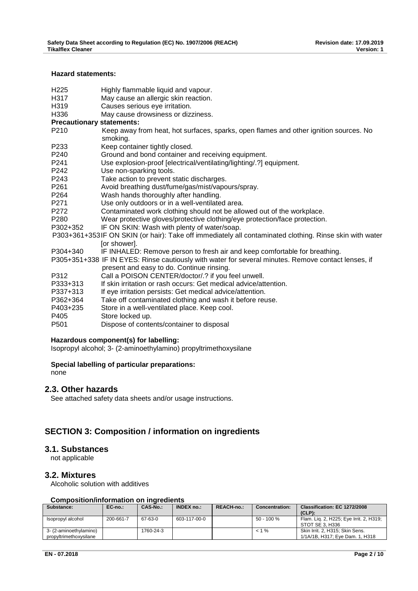### **Hazard statements:**

- H225 Highly flammable liquid and vapour.<br>H317 May cause an allergic skin reaction
- May cause an allergic skin reaction.
- H319 Causes serious eve irritation.
- H336 May cause drowsiness or dizziness.
- **Precautionary statements:**
- P210 Keep away from heat, hot surfaces, sparks, open flames and other ignition sources. No smoking.
- P233 Keep container tightly closed.
- P240 Ground and bond container and receiving equipment.
- P241 Use explosion-proof [electrical/ventilating/lighting/.?] equipment.
- P242 Use non-sparking tools.
- P243 Take action to prevent static discharges.
- P261 Avoid breathing dust/fume/gas/mist/vapours/spray.
- P264 Wash hands thoroughly after handling.
- P271 Use only outdoors or in a well-ventilated area.
- P272 Contaminated work clothing should not be allowed out of the workplace.
- P280 Wear protective gloves/protective clothing/eye protection/face protection.
- P302+352 IF ON SKIN: Wash with plenty of water/soap.
- P303+361+353 IF ON SKIN (or hair): Take off immediately all contaminated clothing. Rinse skin with water [or shower].
- P304+340 IF INHALED: Remove person to fresh air and keep comfortable for breathing.
- P305+351+338 IF IN EYES: Rinse cautiously with water for several minutes. Remove contact lenses, if present and easy to do. Continue rinsing.
- P312 Call a POISON CENTER/doctor/.? if you feel unwell. P333+313 If skin irritation or rash occurs: Get medical advice/attention. P337+313 If eye irritation persists: Get medical advice/attention. P362+364 Take off contaminated clothing and wash it before reuse. P403+235 Store in a well-ventilated place. Keep cool. P405 Store locked up. P501 Dispose of contents/container to disposal

### **Hazardous component(s) for labelling:**

Isopropyl alcohol; 3- (2-aminoethylamino) propyltrimethoxysilane

# **Special labelling of particular preparations:**

none

# **2.3. Other hazards**

See attached safety data sheets and/or usage instructions.

# **SECTION 3: Composition / information on ingredients**

# **3.1. Substances**

not applicable

# **3.2. Mixtures**

Alcoholic solution with additives

### **Composition/information on ingredients**

| Substance:             | EC-no.:   | CAS-No.:  | <b>INDEX no.:</b> | <b>REACH-no.:</b> | <b>Concentration:</b> | Classification: EC 1272/2008            |
|------------------------|-----------|-----------|-------------------|-------------------|-----------------------|-----------------------------------------|
|                        |           |           |                   |                   |                       | $(CLP)$ :                               |
| Isopropyl alcohol      | 200-661-7 | 67-63-0   | 603-117-00-0      |                   | $50 - 100 %$          | Flam. Lig. 2, H225; Eye Irrit. 2, H319; |
|                        |           |           |                   |                   |                       | STOT SE 3. H336                         |
| 3- (2-aminoethylamino) |           | 1760-24-3 |                   |                   | $< 1 \%$              | Skin Irrit, 2, H315: Skin Sens,         |
| propyltrimethoxysilane |           |           |                   |                   |                       | 1/1A/1B, H317: Eve Dam, 1, H318         |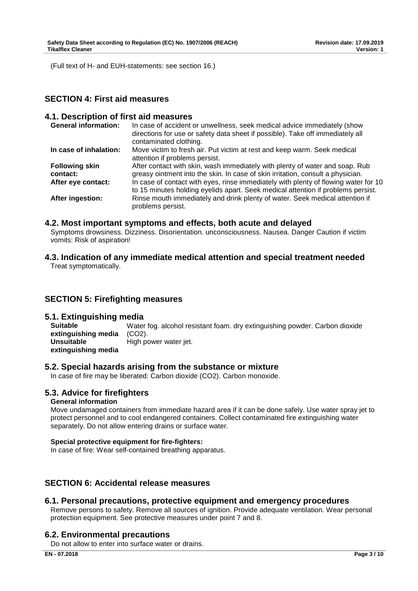(Full text of H- and EUH-statements: see section 16.)

# **SECTION 4: First aid measures**

### **4.1. Description of first aid measures**

| <b>General information:</b>       | In case of accident or unwellness, seek medical advice immediately (show<br>directions for use or safety data sheet if possible). Take off immediately all<br>contaminated clothing. |
|-----------------------------------|--------------------------------------------------------------------------------------------------------------------------------------------------------------------------------------|
| In case of inhalation:            | Move victim to fresh air. Put victim at rest and keep warm. Seek medical<br>attention if problems persist.                                                                           |
| <b>Following skin</b><br>contact: | After contact with skin, wash immediately with plenty of water and soap. Rub<br>greasy ointment into the skin. In case of skin irritation, consult a physician.                      |
| After eye contact:                | In case of contact with eyes, rinse immediately with plenty of flowing water for 10<br>to 15 minutes holding eyelids apart. Seek medical attention if problems persist.              |
| After ingestion:                  | Rinse mouth immediately and drink plenty of water. Seek medical attention if<br>problems persist.                                                                                    |

### **4.2. Most important symptoms and effects, both acute and delayed**

Symptoms drowsiness. Dizziness. Disorientation. unconsciousness. Nausea. Danger Caution if victim vomits: Risk of aspiration!

**4.3. Indication of any immediate medical attention and special treatment needed** Treat symptomatically.

# **SECTION 5: Firefighting measures**

# **5.1. Extinguishing media**

**Suitable extinguishing media**  Water fog. alcohol resistant foam. dry extinguishing powder. Carbon dioxide (CO2). **Unsuitable extinguishing media**  High power water jet.

# **5.2. Special hazards arising from the substance or mixture**

In case of fire may be liberated: Carbon dioxide (CO2). Carbon monoxide.

# **5.3. Advice for firefighters**

### **General information**

Move undamaged containers from immediate hazard area if it can be done safely. Use water spray jet to protect personnel and to cool endangered containers. Collect contaminated fire extinguishing water separately. Do not allow entering drains or surface water.

### **Special protective equipment for fire-fighters:**

In case of fire: Wear self-contained breathing apparatus.

# **SECTION 6: Accidental release measures**

# **6.1. Personal precautions, protective equipment and emergency procedures**

Remove persons to safety. Remove all sources of ignition. Provide adequate ventilation. Wear personal protection equipment. See protective measures under point 7 and 8.

# **6.2. Environmental precautions**

Do not allow to enter into surface water or drains.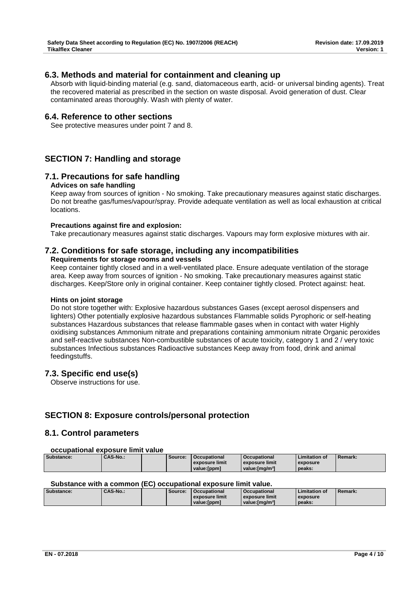# **6.3. Methods and material for containment and cleaning up**

Absorb with liquid-binding material (e.g. sand, diatomaceous earth, acid- or universal binding agents). Treat the recovered material as prescribed in the section on waste disposal. Avoid generation of dust. Clear contaminated areas thoroughly. Wash with plenty of water.

# **6.4. Reference to other sections**

See protective measures under point 7 and 8.

# **SECTION 7: Handling and storage**

# **7.1. Precautions for safe handling**

### **Advices on safe handling**

Keep away from sources of ignition - No smoking. Take precautionary measures against static discharges. Do not breathe gas/fumes/vapour/spray. Provide adequate ventilation as well as local exhaustion at critical locations.

### **Precautions against fire and explosion:**

Take precautionary measures against static discharges. Vapours may form explosive mixtures with air.

# **7.2. Conditions for safe storage, including any incompatibilities**

# **Requirements for storage rooms and vessels**

Keep container tightly closed and in a well-ventilated place. Ensure adequate ventilation of the storage area. Keep away from sources of ignition - No smoking. Take precautionary measures against static discharges. Keep/Store only in original container. Keep container tightly closed. Protect against: heat.

### **Hints on joint storage**

Do not store together with: Explosive hazardous substances Gases (except aerosol dispensers and lighters) Other potentially explosive hazardous substances Flammable solids Pyrophoric or self-heating substances Hazardous substances that release flammable gases when in contact with water Highly oxidising substances Ammonium nitrate and preparations containing ammonium nitrate Organic peroxides and self-reactive substances Non-combustible substances of acute toxicity, category 1 and 2 / very toxic substances Infectious substances Radioactive substances Keep away from food, drink and animal feedingstuffs.

# **7.3. Specific end use(s)**

Observe instructions for use.

# **SECTION 8: Exposure controls/personal protection**

# **8.1. Control parameters**

#### **occupational exposure limit value**

| Substance: | <b>CAS-No.:</b> | Source: | <b>Occupational</b> | <b>Occupational</b>         | <b>Limitation of</b> | <b>Remark:</b> |
|------------|-----------------|---------|---------------------|-----------------------------|----------------------|----------------|
|            |                 |         | exposure limit      | exposure limit              | exposure             |                |
|            |                 |         | value:[ppm]         | value: [mɑ/m <sup>3</sup> ] | peaks:               |                |

### **Substance with a common (EC) occupational exposure limit value.**

| Substance: | <b>CAS-No.:</b> | Source: | Occupational   | <b>Occupational</b>         | <b>Limitation of</b> | Remark: |
|------------|-----------------|---------|----------------|-----------------------------|----------------------|---------|
|            |                 |         | exposure limit | exposure limit              | exposure             |         |
|            |                 |         | value: [ppm]   | value: [mɑ/m <sup>3</sup> ] | peaks:               |         |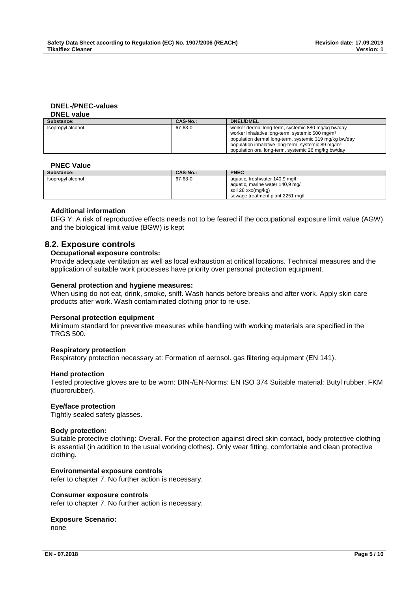#### **DNEL-/PNEC-values DNEL value**

| Substance:        | CAS-No.: | <b>DNEL/DMEL</b>                                                                                                                                                                |
|-------------------|----------|---------------------------------------------------------------------------------------------------------------------------------------------------------------------------------|
| Isopropyl alcohol | 67-63-0  | worker dermal long-term, systemic 880 mg/kg bw/day<br>worker inhalative long-term, systemic 500 mg/m <sup>3</sup>                                                               |
|                   |          | population dermal long-term, systemic 319 mg/kg bw/day<br>population inhalative long-term, systemic 89 mg/m <sup>3</sup><br>population oral long-term, systemic 26 mg/kg bw/day |

### **PNEC Value**

| Substance:        | CAS-No.: | <b>PNEC</b>                                                                                                                  |
|-------------------|----------|------------------------------------------------------------------------------------------------------------------------------|
| Isopropyl alcohol | 67-63-0  | aquatic, freshwater 140,9 mg/l<br>aquatic, marine water 140,9 mg/l<br>soil 28 xxx(mg/kg)<br>sewage treatment plant 2251 mg/l |

# **Additional information**

DFG Y: A risk of reproductive effects needs not to be feared if the occupational exposure limit value (AGW) and the biological limit value (BGW) is kept

# **8.2. Exposure controls**

#### **Occupational exposure controls:**

Provide adequate ventilation as well as local exhaustion at critical locations. Technical measures and the application of suitable work processes have priority over personal protection equipment.

### **General protection and hygiene measures:**

When using do not eat, drink, smoke, sniff. Wash hands before breaks and after work. Apply skin care products after work. Wash contaminated clothing prior to re-use.

### **Personal protection equipment**

Minimum standard for preventive measures while handling with working materials are specified in the TRGS 500.

### **Respiratory protection**

Respiratory protection necessary at: Formation of aerosol. gas filtering equipment (EN 141).

### **Hand protection**

Tested protective gloves are to be worn: DIN-/EN-Norms: EN ISO 374 Suitable material: Butyl rubber. FKM (fluororubber).

### **Eye/face protection**

Tightly sealed safety glasses.

#### **Body protection:**

Suitable protective clothing: Overall. For the protection against direct skin contact, body protective clothing is essential (in addition to the usual working clothes). Only wear fitting, comfortable and clean protective clothing.

### **Environmental exposure controls**

refer to chapter 7. No further action is necessary.

#### **Consumer exposure controls**

refer to chapter 7. No further action is necessary.

# **Exposure Scenario:**

none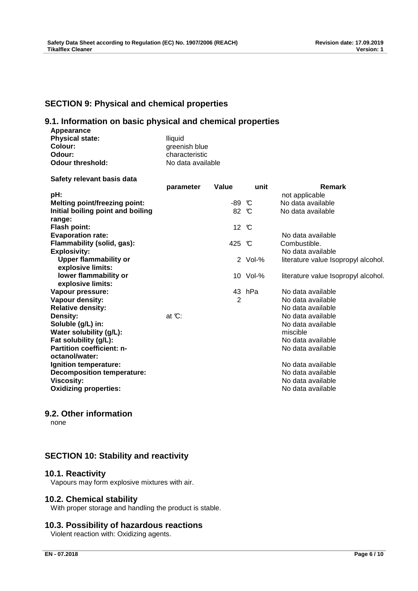# **SECTION 9: Physical and chemical properties**

# **9.1. Information on basic physical and chemical properties**

| Appearance             |  |
|------------------------|--|
| <b>Physical state:</b> |  |
| Colour:                |  |
| Odour:                 |  |

**Odour threshold:** 

**Physical state:** lliquid greenish blue characteristic<br>No data available

**Safety relevant basis data**

|                                      | parameter | Value          | unit         | <b>Remark</b>                       |
|--------------------------------------|-----------|----------------|--------------|-------------------------------------|
| pH:                                  |           |                |              | not applicable                      |
| <b>Melting point/freezing point:</b> |           | -89 °C         |              | No data available                   |
| Initial boiling point and boiling    |           | 82 °C          |              | No data available                   |
| range:                               |           |                |              |                                     |
| <b>Flash point:</b>                  |           | 12 °C          |              |                                     |
| <b>Evaporation rate:</b>             |           |                |              | No data available                   |
| Flammability (solid, gas):           |           | 425 °C         |              | Combustible.                        |
| <b>Explosivity:</b>                  |           |                |              | No data available                   |
| <b>Upper flammability or</b>         |           |                | $2$ Vol- $%$ | literature value Isopropyl alcohol. |
| explosive limits:                    |           |                |              |                                     |
| lower flammability or                |           |                | 10 Vol-%     | literature value Isopropyl alcohol. |
| explosive limits:                    |           |                |              |                                     |
| Vapour pressure:                     |           |                | 43 hPa       | No data available                   |
| Vapour density:                      |           | $\overline{2}$ |              | No data available                   |
| <b>Relative density:</b>             |           |                |              | No data available                   |
| Density:                             | at $C$ :  |                |              | No data available                   |
| Soluble (g/L) in:                    |           |                |              | No data available                   |
| Water solubility (g/L):              |           |                |              | miscible                            |
| Fat solubility (g/L):                |           |                |              | No data available                   |
| <b>Partition coefficient: n-</b>     |           |                |              | No data available                   |
| octanol/water:                       |           |                |              |                                     |
| Ignition temperature:                |           |                |              | No data available                   |
| <b>Decomposition temperature:</b>    |           |                |              | No data available                   |
| <b>Viscosity:</b>                    |           |                |              | No data available                   |
| <b>Oxidizing properties:</b>         |           |                |              | No data available                   |

# **9.2. Other information**

none

# **SECTION 10: Stability and reactivity**

# **10.1. Reactivity**

Vapours may form explosive mixtures with air.

# **10.2. Chemical stability**

With proper storage and handling the product is stable.

# **10.3. Possibility of hazardous reactions**

Violent reaction with: Oxidizing agents.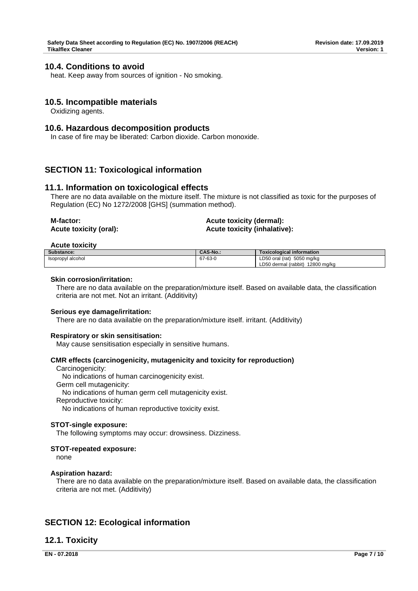# **10.4. Conditions to avoid**

heat. Keep away from sources of ignition - No smoking.

# **10.5. Incompatible materials**

Oxidizing agents.

### **10.6. Hazardous decomposition products**

In case of fire may be liberated: Carbon dioxide. Carbon monoxide.

# **SECTION 11: Toxicological information**

### **11.1. Information on toxicological effects**

There are no data available on the mixture itself. The mixture is not classified as toxic for the purposes of Regulation (EC) No 1272/2008 [GHS] (summation method).

| M-factor:              | Acute toxicity (dermal):            |
|------------------------|-------------------------------------|
| Acute toxicity (oral): | <b>Acute toxicity (inhalative):</b> |

#### **Acute toxicity**

| Substance:        | <b>CAS-No.:</b> | <b>Toxicological information</b> |
|-------------------|-----------------|----------------------------------|
| Isopropyl alcohol | 67-63-0         | LD50 oral (rat) 5050 mg/kg       |
|                   |                 | LD50 dermal (rabbit) 12800 mg/kg |

#### **Skin corrosion/irritation:**

There are no data available on the preparation/mixture itself. Based on available data, the classification criteria are not met. Not an irritant. (Additivity)

#### **Serious eye damage/irritation:**

There are no data available on the preparation/mixture itself. irritant. (Additivity)

#### **Respiratory or skin sensitisation:**

May cause sensitisation especially in sensitive humans.

#### **CMR effects (carcinogenicity, mutagenicity and toxicity for reproduction)**

Carcinogenicity: No indications of human carcinogenicity exist. Germ cell mutagenicity: No indications of human germ cell mutagenicity exist. Reproductive toxicity:

No indications of human reproductive toxicity exist.

#### **STOT-single exposure:**

The following symptoms may occur: drowsiness. Dizziness.

### **STOT-repeated exposure:**

none

### **Aspiration hazard:**

There are no data available on the preparation/mixture itself. Based on available data, the classification criteria are not met. (Additivity)

# **SECTION 12: Ecological information**

# **12.1. Toxicity**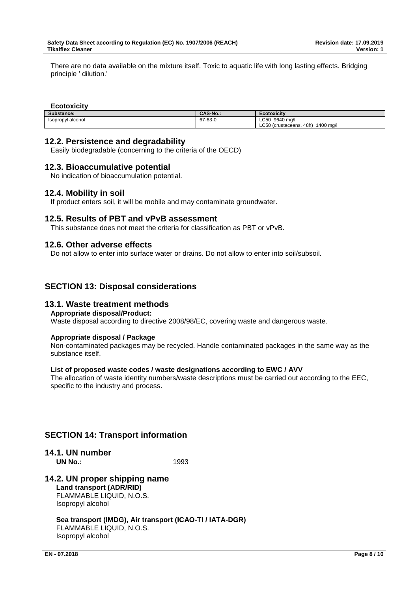There are no data available on the mixture itself. Toxic to aquatic life with long lasting effects. Bridging principle ' dilution.'

# **Ecotoxicity**

| Substance:        | <b>CAS-No.:</b> | <b>Ecotoxicity</b>                   |
|-------------------|-----------------|--------------------------------------|
| Isopropyl alcohol | 67-63-0         | LC50<br>9640 ma/l                    |
|                   |                 | LC50 (crustaceans, 48h)<br>1400 mg/l |

# **12.2. Persistence and degradability**

Easily biodegradable (concerning to the criteria of the OECD)

# **12.3. Bioaccumulative potential**

No indication of bioaccumulation potential.

# **12.4. Mobility in soil**

If product enters soil, it will be mobile and may contaminate groundwater.

# **12.5. Results of PBT and vPvB assessment**

This substance does not meet the criteria for classification as PBT or vPvB.

### **12.6. Other adverse effects**

Do not allow to enter into surface water or drains. Do not allow to enter into soil/subsoil.

# **SECTION 13: Disposal considerations**

# **13.1. Waste treatment methods**

#### **Appropriate disposal/Product:**

Waste disposal according to directive 2008/98/EC, covering waste and dangerous waste.

### **Appropriate disposal / Package**

Non-contaminated packages may be recycled. Handle contaminated packages in the same way as the substance itself.

### **List of proposed waste codes / waste designations according to EWC / AVV**

The allocation of waste identity numbers/waste descriptions must be carried out according to the EEC, specific to the industry and process.

# **SECTION 14: Transport information**

**14.1. UN number UN No.:** 1993

# **14.2. UN proper shipping name Land transport (ADR/RID)**

FLAMMABLE LIQUID, N.O.S. Isopropyl alcohol

**Sea transport (IMDG), Air transport (ICAO-TI / IATA-DGR)** FLAMMABLE LIQUID, N.O.S. Isopropyl alcohol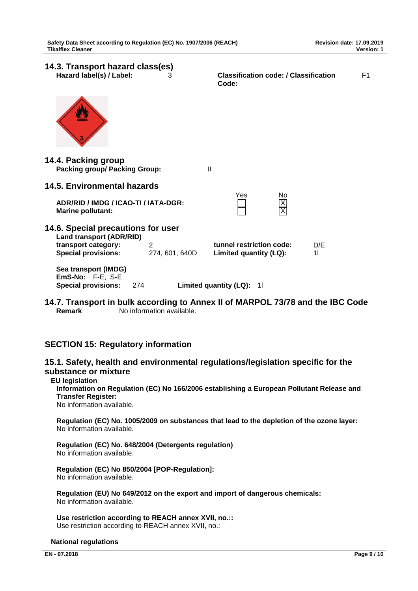**14.3. Transport hazard class(es) Hazard label(s) / Label:** 3 **Classification code: / Classification Code:**  F1 **14.4. Packing group Packing group/ Packing Group:** II **14.5. Environmental hazards** Yes No **ADR/RID / IMDG / ICAO-TI / IATA-DGR:** X **Marine pollutant: 14.6. Special precautions for user Land transport (ADR/RID) transport category:** 2 **tunnel restriction code:** D/E **Special provisions:** 274, 601, 640D **Limited quantity (LQ):** 1 **Sea transport (IMDG) EmS-No:** F-E, S-E **Special provisions:** 274 **Limited quantity (LQ):** 1l

**14.7. Transport in bulk according to Annex II of MARPOL 73/78 and the IBC Code Remark** No information available.

# **SECTION 15: Regulatory information**

# **15.1. Safety, health and environmental regulations/legislation specific for the substance or mixture**

# **EU legislation**

**Information on Regulation (EC) No 166/2006 establishing a European Pollutant Release and Transfer Register:** 

No information available.

**Regulation (EC) No. 1005/2009 on substances that lead to the depletion of the ozone layer:** No information available.

**Regulation (EC) No. 648/2004 (Detergents regulation)** No information available.

**Regulation (EC) No 850/2004 [POP-Regulation]:** No information available.

**Regulation (EU) No 649/2012 on the export and import of dangerous chemicals:** No information available.

**Use restriction according to REACH annex XVII, no.::** Use restriction according to REACH annex XVII, no.:

# **National regulations**